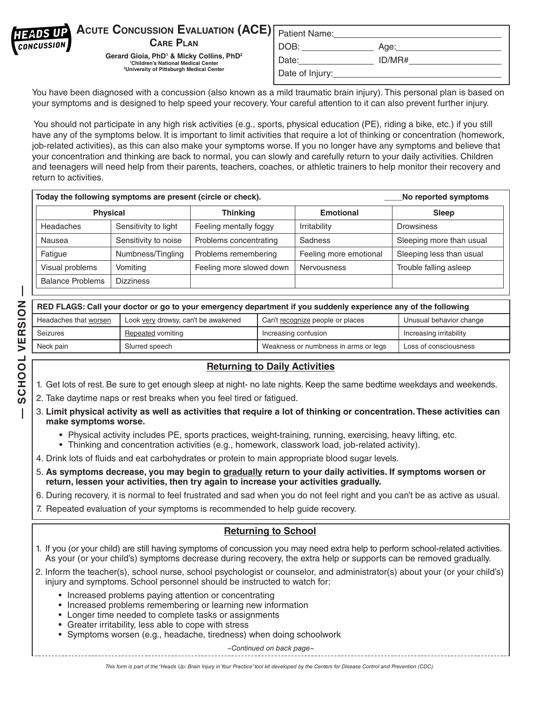| <b>FADS UP</b> ACUTE CONCUSSION EVALUATION (ACE) Patient Name: |
|----------------------------------------------------------------|
| DOB:<br>Age:                                                   |
| ID/MR#<br>Date:                                                |
| Date of Injury:                                                |
|                                                                |

You have been diagnosed with a concussion (also known as a mild traumatic brain injury). This personal plan is based on your symptoms and is designed to help speed your recovery. Your careful attention to it can also prevent further injury.

 You should not participate in any high risk activities (e.g., sports, physical education (PE), riding a bike, etc.) if you still have any of the symptoms below. It is important to limit activities that require a lot of thinking or concentration (homework, job-related activities), as this can also make your symptoms worse. If you no longer have any symptoms and believe that your concentration and thinking are back to normal, you can slowly and carefully return to your daily activities. Children and teenagers will need help from their parents, teachers, coaches, or athletic trainers to help monitor their recovery and return to activities.

| Today the following symptoms are present (circle or check). | No reported symptoms |                          |                        |                          |
|-------------------------------------------------------------|----------------------|--------------------------|------------------------|--------------------------|
| <b>Physical</b>                                             |                      | <b>Thinking</b>          |                        | <b>Sleep</b>             |
| <b>Headaches</b>                                            | Sensitivity to light | Feeling mentally foggy   | Irritability           | <b>Drowsiness</b>        |
| Nausea                                                      | Sensitivity to noise | Problems concentrating   | Sadness                | Sleeping more than usual |
| Fatigue                                                     | Numbness/Tingling    | Problems remembering     | Feeling more emotional | Sleeping less than usual |
| Visual problems                                             | Vomiting             | Feeling more slowed down | Nervousness            | Trouble falling asleep   |
| <b>Balance Problems</b>                                     | <b>Dizziness</b>     |                          |                        |                          |

| RED FLAGS: Call your doctor or go to your emergency department if you suddenly experience any of the following |                                     |                                      |                         |  |  |  |  |  |
|----------------------------------------------------------------------------------------------------------------|-------------------------------------|--------------------------------------|-------------------------|--|--|--|--|--|
| Headaches that worsen                                                                                          | Look very drowsy, can't be awakened | Can't recognize people or places     | Unusual behavior change |  |  |  |  |  |
| Seizures                                                                                                       | Repeated vomiting                   | Increasing confusion                 | Increasing irritability |  |  |  |  |  |
| Neck pain                                                                                                      | Slurred speech                      | Weakness or numbness in arms or legs | Loss of consciousness   |  |  |  |  |  |

### **Returning to Daily Activities**

- 1. Get lots of rest. Be sure to get enough sleep at night- no late nights. Keep the same bedtime weekdays and weekends.
- 2. Take daytime naps or rest breaks when you feel tired or fatigued.
- 3. **Limit physical activity as well as activities that require a lot of thinking or concentration. These activities can make symptoms worse.**
	- Physical activity includes PE, sports practices, weight-training, running, exercising, heavy lifting, etc.
	- Thinking and concentration activities (e.g., homework, classwork load, job-related activity).
- 4. Drink lots of fluids and eat carbohydrates or protein to main appropriate blood sugar levels.
- 5. **As symptoms decrease, you may begin to gradually return to your daily activities. If symptoms worsen or return, lessen your activities, then try again to increase your activities gradually.**
- 6. During recovery, it is normal to feel frustrated and sad when you do not feel right and you can't be as active as usual.
- 7. Repeated evaluation of your symptoms is recommended to help guide recovery.

# **Returning to School**

- 1. If you (or your child) are still having symptoms of concussion you may need extra help to perform school-related activities. As your (or your child's) symptoms decrease during recovery, the extra help or supports can be removed gradually.
- 2. Inform the teacher(s), school nurse, school psychologist or counselor, and administrator(s) about your (or your child's) injury and symptoms. School personnel should be instructed to watch for:
	- Increased problems paying attention or concentrating
	- Increased problems remembering or learning new information
	- Longer time needed to complete tasks or assignments
	- Greater irritability, less able to cope with stress
	- Symptoms worsen (e.g., headache, tiredness) when doing schoolwork

*~Continued on back page~*